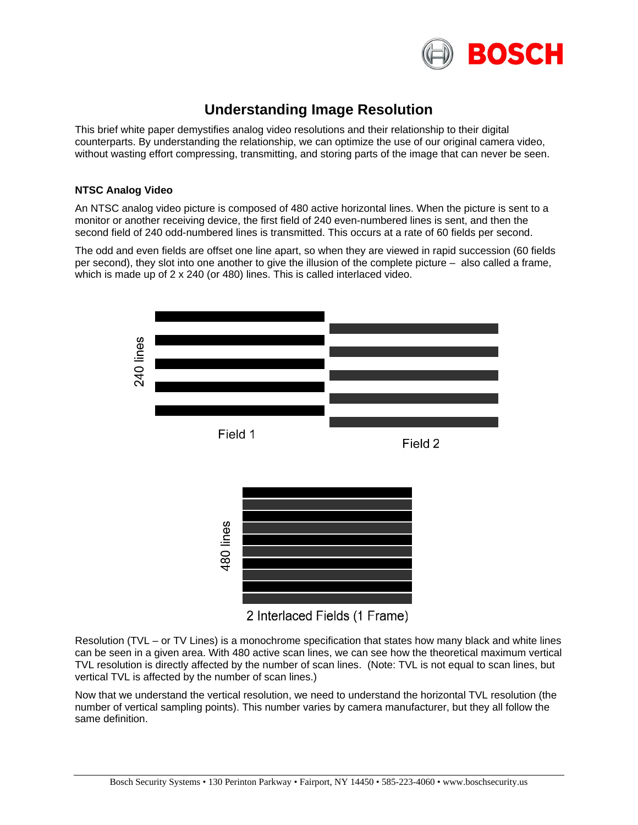

# **Understanding Image Resolution**

This brief white paper demystifies analog video resolutions and their relationship to their digital counterparts. By understanding the relationship, we can optimize the use of our original camera video, without wasting effort compressing, transmitting, and storing parts of the image that can never be seen.

# **NTSC Analog Video**

An NTSC analog video picture is composed of 480 active horizontal lines. When the picture is sent to a monitor or another receiving device, the first field of 240 even-numbered lines is sent, and then the second field of 240 odd-numbered lines is transmitted. This occurs at a rate of 60 fields per second.

The odd and even fields are offset one line apart, so when they are viewed in rapid succession (60 fields per second), they slot into one another to give the illusion of the complete picture – also called a frame, which is made up of 2 x 240 (or 480) lines. This is called interlaced video.



<sup>2</sup> Interlaced Fields (1 Frame)

Resolution (TVL – or TV Lines) is a monochrome specification that states how many black and white lines can be seen in a given area. With 480 active scan lines, we can see how the theoretical maximum vertical TVL resolution is directly affected by the number of scan lines. (Note: TVL is not equal to scan lines, but vertical TVL is affected by the number of scan lines.)

Now that we understand the vertical resolution, we need to understand the horizontal TVL resolution (the number of vertical sampling points). This number varies by camera manufacturer, but they all follow the same definition.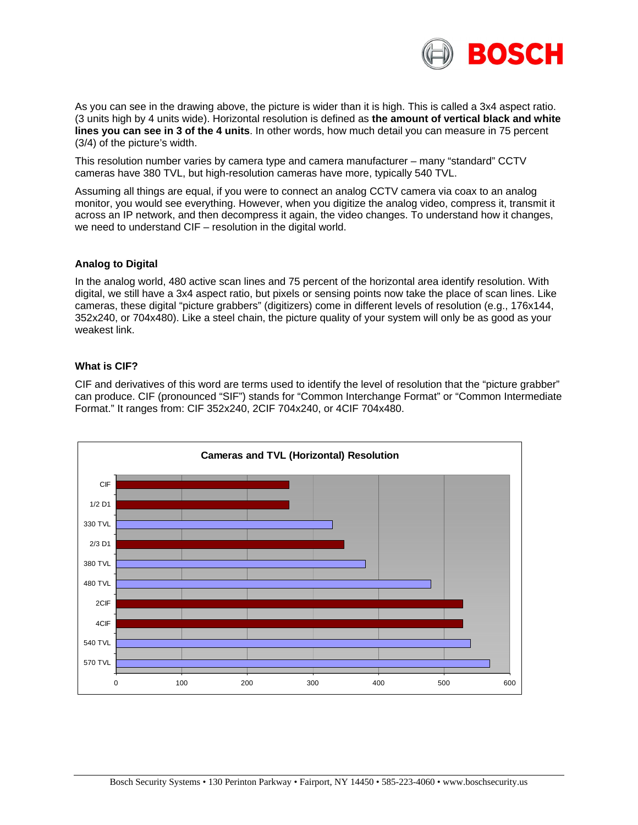

As you can see in the drawing above, the picture is wider than it is high. This is called a 3x4 aspect ratio. (3 units high by 4 units wide). Horizontal resolution is defined as **the amount of vertical black and white lines you can see in 3 of the 4 units**. In other words, how much detail you can measure in 75 percent (3/4) of the picture's width.

This resolution number varies by camera type and camera manufacturer – many "standard" CCTV cameras have 380 TVL, but high-resolution cameras have more, typically 540 TVL.

Assuming all things are equal, if you were to connect an analog CCTV camera via coax to an analog monitor, you would see everything. However, when you digitize the analog video, compress it, transmit it across an IP network, and then decompress it again, the video changes. To understand how it changes, we need to understand CIF – resolution in the digital world.

# **Analog to Digital**

In the analog world, 480 active scan lines and 75 percent of the horizontal area identify resolution. With digital, we still have a 3x4 aspect ratio, but pixels or sensing points now take the place of scan lines. Like cameras, these digital "picture grabbers" (digitizers) come in different levels of resolution (e.g., 176x144, 352x240, or 704x480). Like a steel chain, the picture quality of your system will only be as good as your weakest link.

### **What is CIF?**

CIF and derivatives of this word are terms used to identify the level of resolution that the "picture grabber" can produce. CIF (pronounced "SIF") stands for "Common Interchange Format" or "Common Intermediate Format." It ranges from: CIF 352x240, 2CIF 704x240, or 4CIF 704x480.

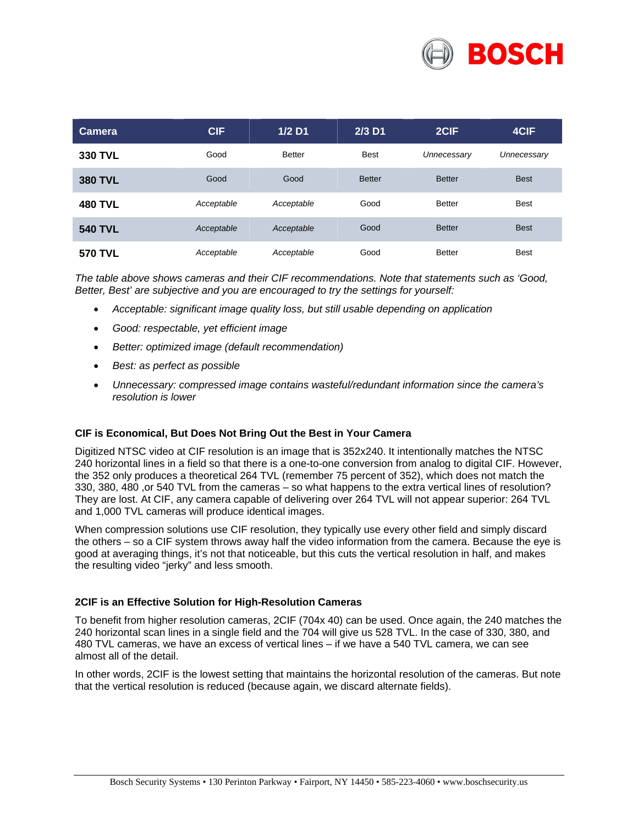

| Camera         | <b>CIF</b> | $1/2$ D1      | $2/3$ D1      | 2CIF          | 4CIF        |
|----------------|------------|---------------|---------------|---------------|-------------|
| <b>330 TVL</b> | Good       | <b>Better</b> | <b>Best</b>   | Unnecessary   | Unnecessary |
| <b>380 TVL</b> | Good       | Good          | <b>Better</b> | <b>Better</b> | <b>Best</b> |
| <b>480 TVL</b> | Acceptable | Acceptable    | Good          | <b>Better</b> | <b>Best</b> |
| <b>540 TVL</b> | Acceptable | Acceptable    | Good          | <b>Better</b> | <b>Best</b> |
| <b>570 TVL</b> | Acceptable | Acceptable    | Good          | <b>Better</b> | <b>Best</b> |

*The table above shows cameras and their CIF recommendations. Note that statements such as 'Good, Better, Best' are subjective and you are encouraged to try the settings for yourself:* 

- *Acceptable: significant image quality loss, but still usable depending on application*
- *Good: respectable, yet efficient image*
- *Better: optimized image (default recommendation)*
- *Best: as perfect as possible*
- *Unnecessary: compressed image contains wasteful/redundant information since the camera's resolution is lower*

### **CIF is Economical, But Does Not Bring Out the Best in Your Camera**

Digitized NTSC video at CIF resolution is an image that is 352x240. It intentionally matches the NTSC 240 horizontal lines in a field so that there is a one-to-one conversion from analog to digital CIF. However, the 352 only produces a theoretical 264 TVL (remember 75 percent of 352), which does not match the 330, 380, 480 ,or 540 TVL from the cameras – so what happens to the extra vertical lines of resolution? They are lost. At CIF, any camera capable of delivering over 264 TVL will not appear superior: 264 TVL and 1,000 TVL cameras will produce identical images.

When compression solutions use CIF resolution, they typically use every other field and simply discard the others – so a CIF system throws away half the video information from the camera. Because the eye is good at averaging things, it's not that noticeable, but this cuts the vertical resolution in half, and makes the resulting video "jerky" and less smooth.

#### **2CIF is an Effective Solution for High-Resolution Cameras**

To benefit from higher resolution cameras, 2CIF (704x 40) can be used. Once again, the 240 matches the 240 horizontal scan lines in a single field and the 704 will give us 528 TVL. In the case of 330, 380, and 480 TVL cameras, we have an excess of vertical lines – if we have a 540 TVL camera, we can see almost all of the detail.

In other words, 2CIF is the lowest setting that maintains the horizontal resolution of the cameras. But note that the vertical resolution is reduced (because again, we discard alternate fields).